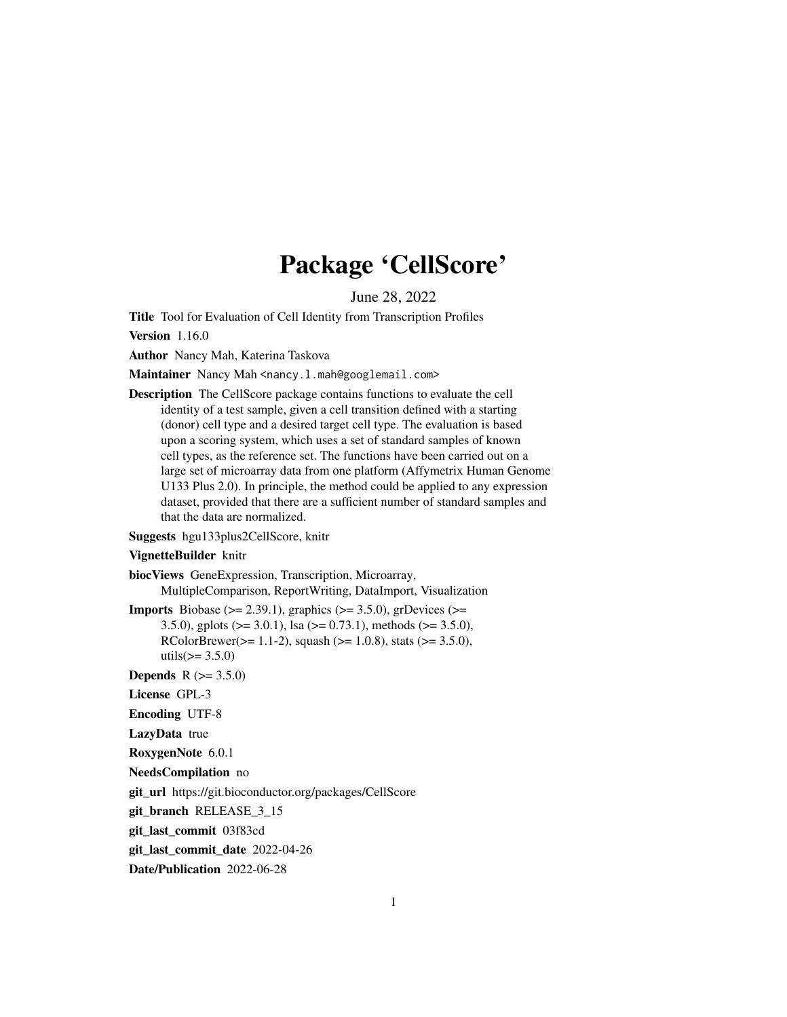# Package 'CellScore'

June 28, 2022

<span id="page-0-0"></span>Title Tool for Evaluation of Cell Identity from Transcription Profiles

Version 1.16.0

Author Nancy Mah, Katerina Taskova

Maintainer Nancy Mah <nancy.l.mah@googlemail.com>

Description The CellScore package contains functions to evaluate the cell identity of a test sample, given a cell transition defined with a starting (donor) cell type and a desired target cell type. The evaluation is based upon a scoring system, which uses a set of standard samples of known cell types, as the reference set. The functions have been carried out on a large set of microarray data from one platform (Affymetrix Human Genome U133 Plus 2.0). In principle, the method could be applied to any expression dataset, provided that there are a sufficient number of standard samples and that the data are normalized.

Suggests hgu133plus2CellScore, knitr

#### VignetteBuilder knitr

biocViews GeneExpression, Transcription, Microarray, MultipleComparison, ReportWriting, DataImport, Visualization

**Imports** Biobase ( $>= 2.39.1$ ), graphics ( $>= 3.5.0$ ), grDevices ( $>=$ 3.5.0), gplots ( $> = 3.0.1$ ), lsa ( $> = 0.73.1$ ), methods ( $> = 3.5.0$ ), RColorBrewer( $>= 1.1-2$ ), squash ( $>= 1.0.8$ ), stats ( $>= 3.5.0$ ), utils( $> = 3.5.0$ )

**Depends** R  $(>= 3.5.0)$ 

License GPL-3

Encoding UTF-8

LazyData true

RoxygenNote 6.0.1

NeedsCompilation no

git\_url https://git.bioconductor.org/packages/CellScore

git\_branch RELEASE\_3\_15

git\_last\_commit 03f83cd

git last commit date 2022-04-26

Date/Publication 2022-06-28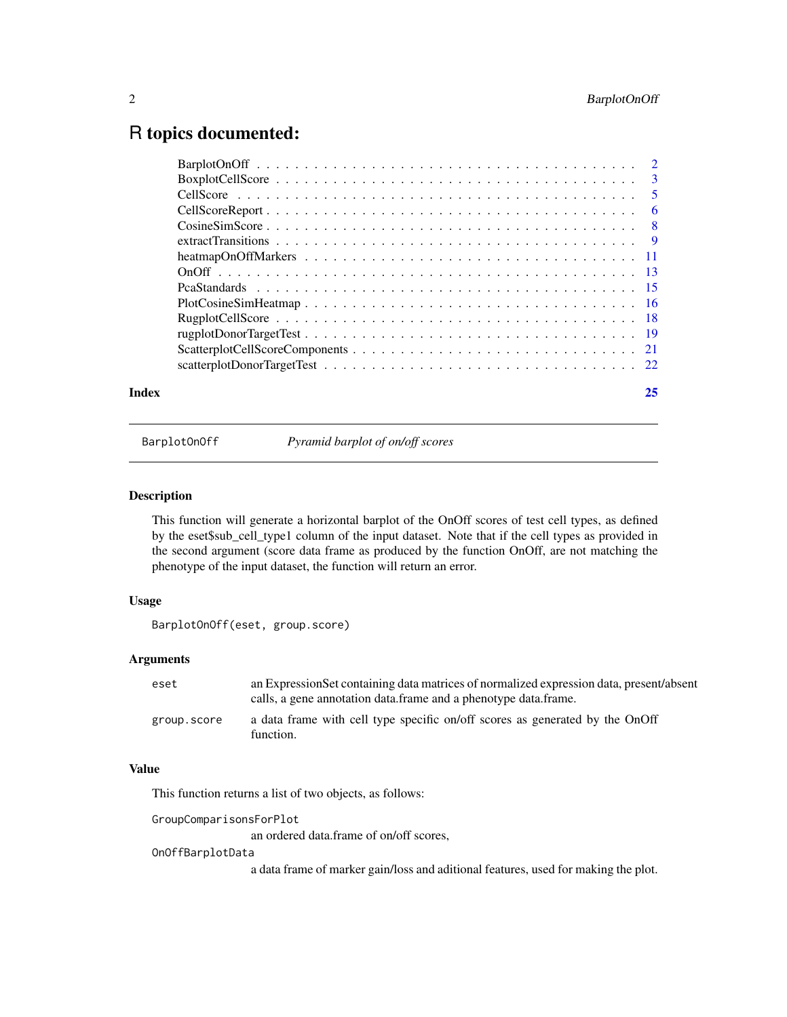# <span id="page-1-0"></span>R topics documented:

| Index | 25 |
|-------|----|
|       |    |
|       |    |
|       |    |
|       |    |
|       |    |
|       |    |
|       |    |
|       |    |
|       |    |
|       |    |
|       |    |
|       |    |
|       |    |
|       |    |

BarplotOnOff *Pyramid barplot of on/off scores*

# Description

This function will generate a horizontal barplot of the OnOff scores of test cell types, as defined by the eset\$sub\_cell\_type1 column of the input dataset. Note that if the cell types as provided in the second argument (score data frame as produced by the function OnOff, are not matching the phenotype of the input dataset, the function will return an error.

# Usage

```
BarplotOnOff(eset, group.score)
```
# Arguments

| eset        | an Expression Set containing data matrices of normalized expression data, present/absent<br>calls, a gene annotation data frame and a phenotype data frame. |
|-------------|-------------------------------------------------------------------------------------------------------------------------------------------------------------|
| group.score | a data frame with cell type specific on/off scores as generated by the OnOff<br>function.                                                                   |

# Value

This function returns a list of two objects, as follows:

GroupComparisonsForPlot

an ordered data.frame of on/off scores,

#### OnOffBarplotData

a data frame of marker gain/loss and aditional features, used for making the plot.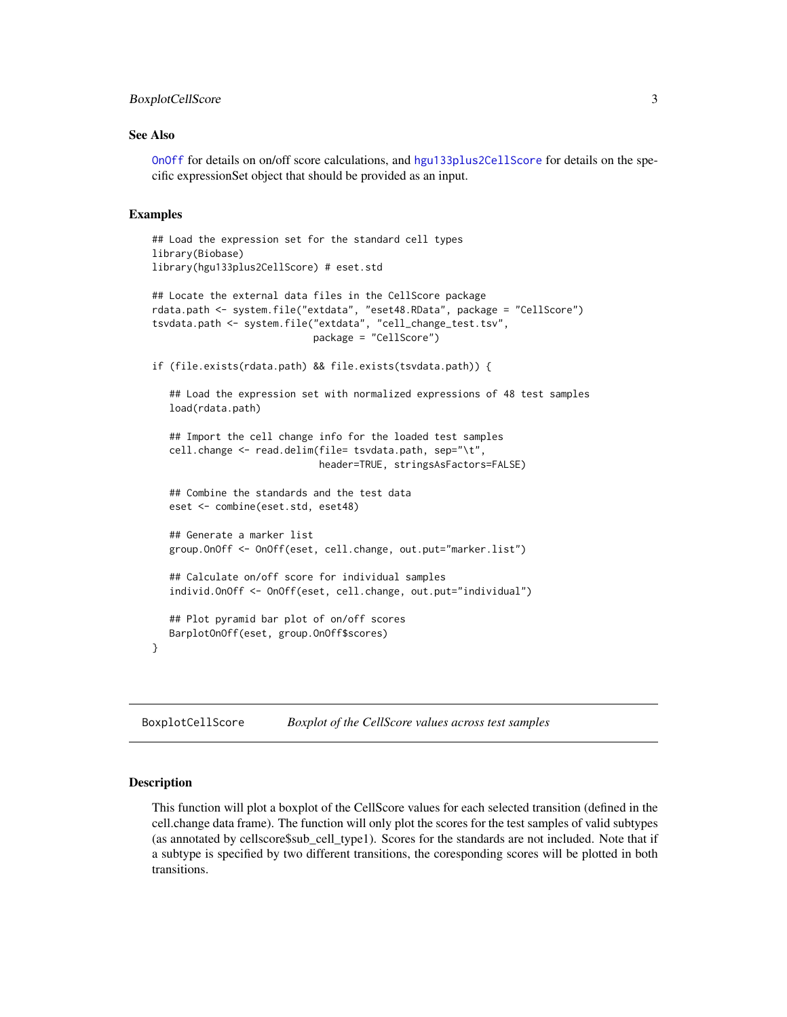# <span id="page-2-0"></span>BoxplotCellScore 3

#### See Also

[OnOff](#page-12-1) for details on on/off score calculations, and [hgu133plus2CellScore](#page-0-0) for details on the specific expressionSet object that should be provided as an input.

#### Examples

```
## Load the expression set for the standard cell types
library(Biobase)
library(hgu133plus2CellScore) # eset.std
## Locate the external data files in the CellScore package
rdata.path <- system.file("extdata", "eset48.RData", package = "CellScore")
tsvdata.path <- system.file("extdata", "cell_change_test.tsv",
                            package = "CellScore")
if (file.exists(rdata.path) && file.exists(tsvdata.path)) {
   ## Load the expression set with normalized expressions of 48 test samples
  load(rdata.path)
   ## Import the cell change info for the loaded test samples
  cell.change <- read.delim(file= tsvdata.path, sep="\t",
                             header=TRUE, stringsAsFactors=FALSE)
   ## Combine the standards and the test data
  eset <- combine(eset.std, eset48)
   ## Generate a marker list
  group.OnOff <- OnOff(eset, cell.change, out.put="marker.list")
   ## Calculate on/off score for individual samples
   individ.OnOff <- OnOff(eset, cell.change, out.put="individual")
   ## Plot pyramid bar plot of on/off scores
  BarplotOnOff(eset, group.OnOff$scores)
}
```
BoxplotCellScore *Boxplot of the CellScore values across test samples*

#### Description

This function will plot a boxplot of the CellScore values for each selected transition (defined in the cell.change data frame). The function will only plot the scores for the test samples of valid subtypes (as annotated by cellscore\$sub\_cell\_type1). Scores for the standards are not included. Note that if a subtype is specified by two different transitions, the coresponding scores will be plotted in both transitions.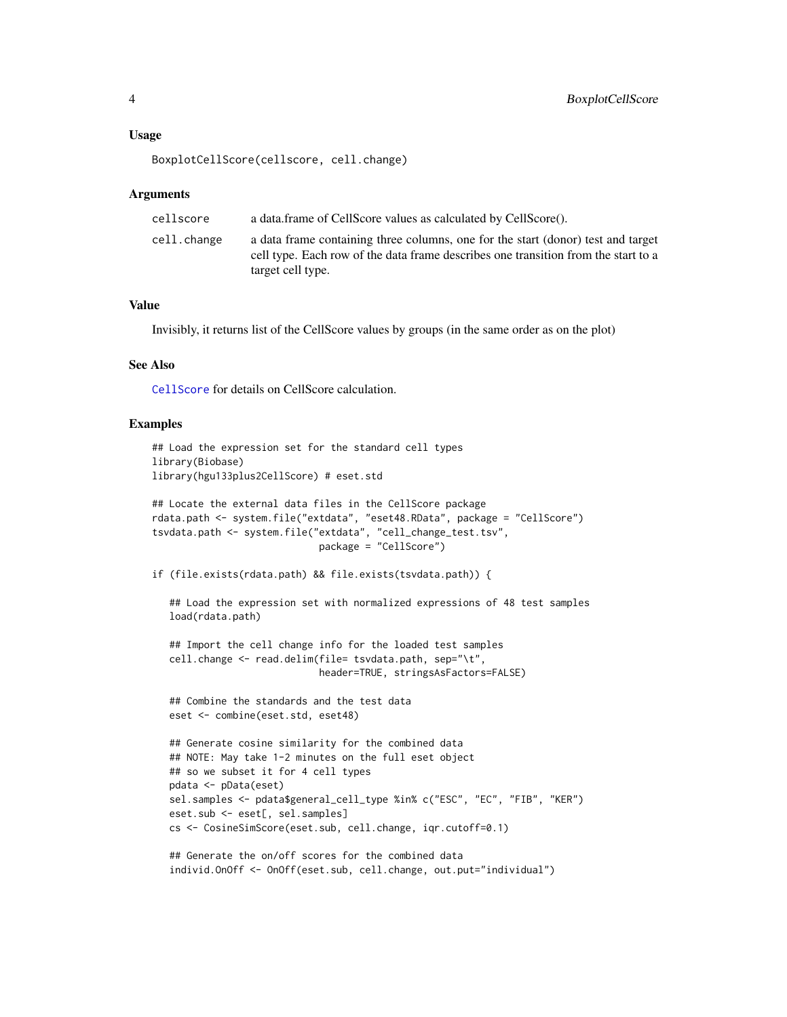#### <span id="page-3-0"></span>Usage

BoxplotCellScore(cellscore, cell.change)

#### Arguments

| cellscore   | a data frame of CellScore values as calculated by CellScore().                                                                                                                              |
|-------------|---------------------------------------------------------------------------------------------------------------------------------------------------------------------------------------------|
| cell.change | a data frame containing three columns, one for the start (donor) test and target<br>cell type. Each row of the data frame describes one transition from the start to a<br>target cell type. |

### Value

Invisibly, it returns list of the CellScore values by groups (in the same order as on the plot)

# See Also

[CellScore](#page-4-1) for details on CellScore calculation.

#### Examples

```
## Load the expression set for the standard cell types
library(Biobase)
library(hgu133plus2CellScore) # eset.std
## Locate the external data files in the CellScore package
rdata.path <- system.file("extdata", "eset48.RData", package = "CellScore")
tsvdata.path <- system.file("extdata", "cell_change_test.tsv",
                             package = "CellScore")
if (file.exists(rdata.path) && file.exists(tsvdata.path)) {
   ## Load the expression set with normalized expressions of 48 test samples
   load(rdata.path)
   ## Import the cell change info for the loaded test samples
   cell.change <- read.delim(file= tsvdata.path, sep="\t",
                             header=TRUE, stringsAsFactors=FALSE)
   ## Combine the standards and the test data
   eset <- combine(eset.std, eset48)
   ## Generate cosine similarity for the combined data
   ## NOTE: May take 1-2 minutes on the full eset object
   ## so we subset it for 4 cell types
   pdata <- pData(eset)
   sel.samples <- pdata$general_cell_type %in% c("ESC", "EC", "FIB", "KER")
   eset.sub <- eset[, sel.samples]
   cs <- CosineSimScore(eset.sub, cell.change, iqr.cutoff=0.1)
   ## Generate the on/off scores for the combined data
   individ.OnOff <- OnOff(eset.sub, cell.change, out.put="individual")
```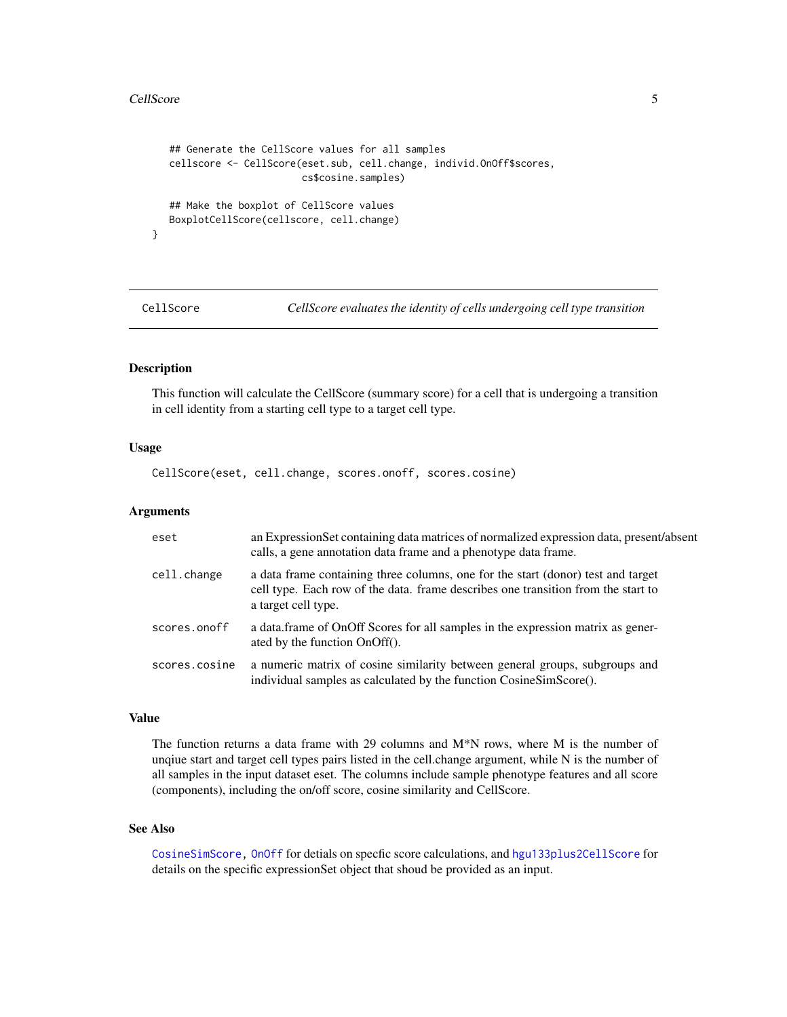#### <span id="page-4-0"></span>CellScore 5

}

```
## Generate the CellScore values for all samples
cellscore <- CellScore(eset.sub, cell.change, individ.OnOff$scores,
                       cs$cosine.samples)
## Make the boxplot of CellScore values
BoxplotCellScore(cellscore, cell.change)
```
<span id="page-4-1"></span>

CellScore *CellScore evaluates the identity of cells undergoing cell type transition*

# Description

This function will calculate the CellScore (summary score) for a cell that is undergoing a transition in cell identity from a starting cell type to a target cell type.

#### Usage

CellScore(eset, cell.change, scores.onoff, scores.cosine)

#### **Arguments**

| eset          | an Expression Set containing data matrices of normalized expression data, present/absent<br>calls, a gene annotation data frame and a phenotype data frame.                                  |
|---------------|----------------------------------------------------------------------------------------------------------------------------------------------------------------------------------------------|
| cell.change   | a data frame containing three columns, one for the start (donor) test and target<br>cell type. Each row of the data. frame describes one transition from the start to<br>a target cell type. |
| scores.onoff  | a data frame of OnOff Scores for all samples in the expression matrix as gener-<br>ated by the function OnOff().                                                                             |
| scores.cosine | a numeric matrix of cosine similarity between general groups, subgroups and<br>individual samples as calculated by the function CosineSimScore().                                            |

#### Value

The function returns a data frame with 29 columns and  $M^*N$  rows, where M is the number of unqiue start and target cell types pairs listed in the cell.change argument, while N is the number of all samples in the input dataset eset. The columns include sample phenotype features and all score (components), including the on/off score, cosine similarity and CellScore.

# See Also

[CosineSimScore,](#page-7-1) [OnOff](#page-12-1) for detials on specfic score calculations, and [hgu133plus2CellScore](#page-0-0) for details on the specific expressionSet object that shoud be provided as an input.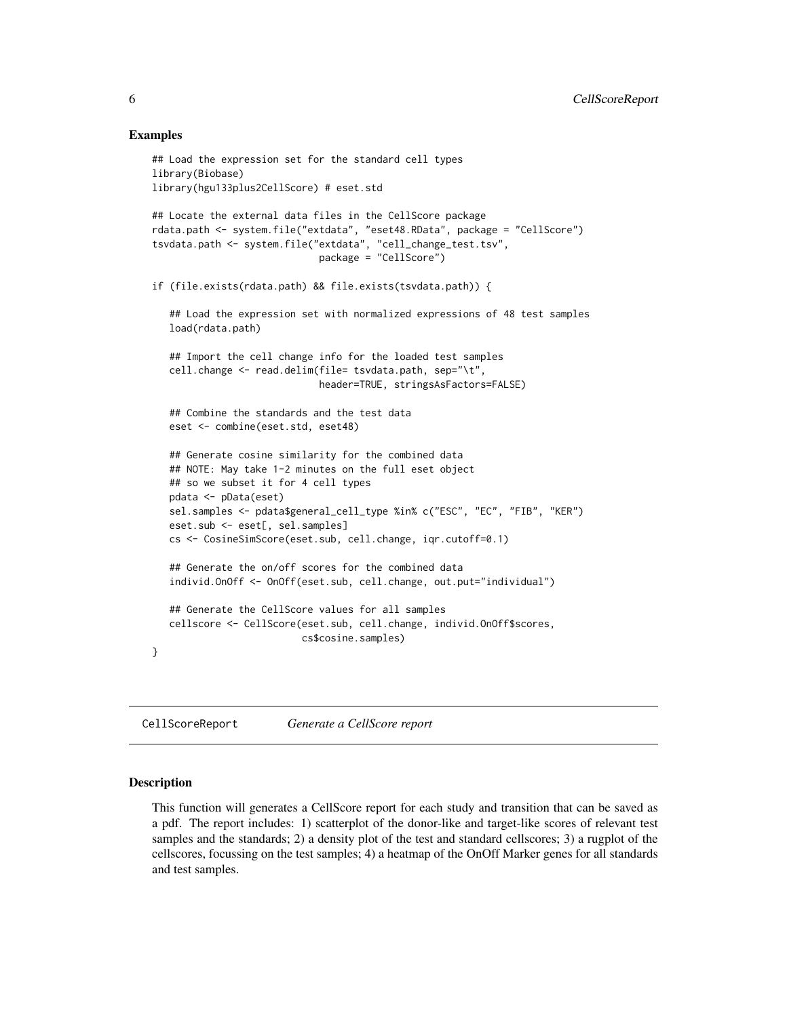#### Examples

```
## Load the expression set for the standard cell types
library(Biobase)
library(hgu133plus2CellScore) # eset.std
## Locate the external data files in the CellScore package
rdata.path <- system.file("extdata", "eset48.RData", package = "CellScore")
tsvdata.path <- system.file("extdata", "cell_change_test.tsv",
                             package = "CellScore")
if (file.exists(rdata.path) && file.exists(tsvdata.path)) {
   ## Load the expression set with normalized expressions of 48 test samples
   load(rdata.path)
   ## Import the cell change info for the loaded test samples
   cell.change <- read.delim(file= tsvdata.path, sep="\t",
                             header=TRUE, stringsAsFactors=FALSE)
   ## Combine the standards and the test data
   eset <- combine(eset.std, eset48)
   ## Generate cosine similarity for the combined data
   ## NOTE: May take 1-2 minutes on the full eset object
   ## so we subset it for 4 cell types
   pdata <- pData(eset)
   sel.samples <- pdata$general_cell_type %in% c("ESC", "EC", "FIB", "KER")
   eset.sub <- eset[, sel.samples]
   cs <- CosineSimScore(eset.sub, cell.change, iqr.cutoff=0.1)
   ## Generate the on/off scores for the combined data
   individ.OnOff <- OnOff(eset.sub, cell.change, out.put="individual")
   ## Generate the CellScore values for all samples
   cellscore <- CellScore(eset.sub, cell.change, individ.OnOff$scores,
                         cs$cosine.samples)
}
```
CellScoreReport *Generate a CellScore report*

#### Description

This function will generates a CellScore report for each study and transition that can be saved as a pdf. The report includes: 1) scatterplot of the donor-like and target-like scores of relevant test samples and the standards; 2) a density plot of the test and standard cellscores; 3) a rugplot of the cellscores, focussing on the test samples; 4) a heatmap of the OnOff Marker genes for all standards and test samples.

<span id="page-5-0"></span>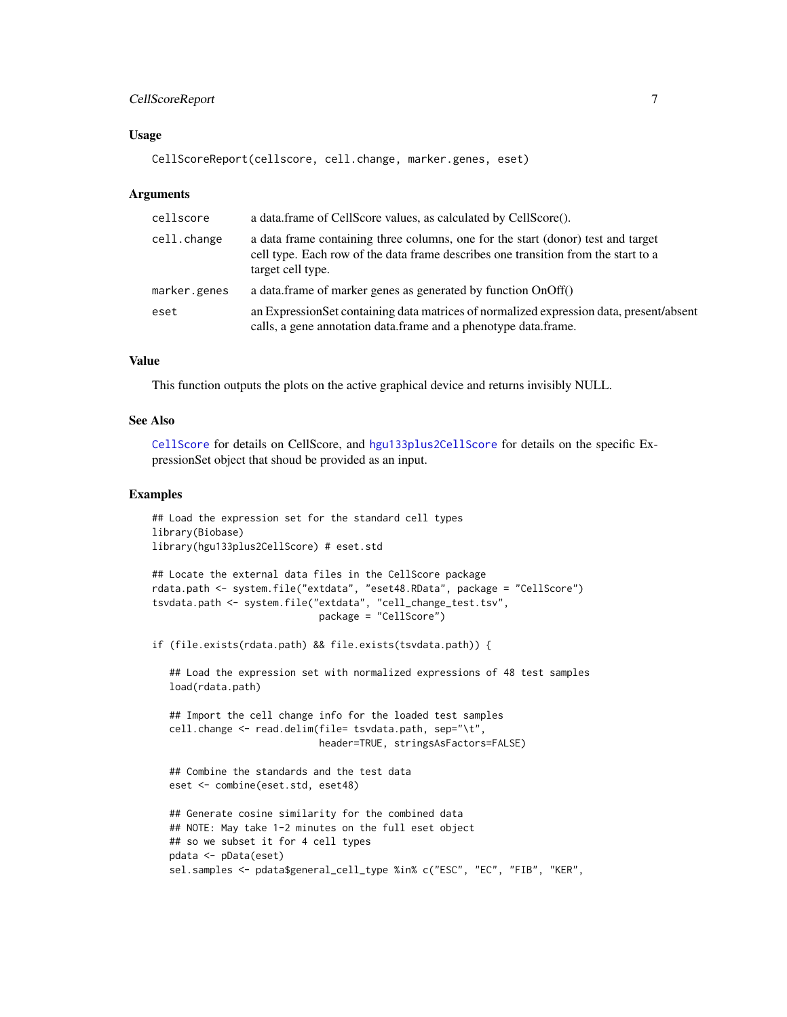# <span id="page-6-0"></span>CellScoreReport 7

#### Usage

```
CellScoreReport(cellscore, cell.change, marker.genes, eset)
```
#### Arguments

| cellscore    | a data.frame of CellScore values, as calculated by CellScore().                                                                                                                             |
|--------------|---------------------------------------------------------------------------------------------------------------------------------------------------------------------------------------------|
| cell.change  | a data frame containing three columns, one for the start (donor) test and target<br>cell type. Each row of the data frame describes one transition from the start to a<br>target cell type. |
| marker.genes | a data.frame of marker genes as generated by function OnOff()                                                                                                                               |
| eset         | an Expression Set containing data matrices of normalized expression data, present/absent<br>calls, a gene annotation data.frame and a phenotype data.frame.                                 |

# Value

This function outputs the plots on the active graphical device and returns invisibly NULL.

#### See Also

[CellScore](#page-4-1) for details on CellScore, and [hgu133plus2CellScore](#page-0-0) for details on the specific ExpressionSet object that shoud be provided as an input.

#### Examples

```
## Load the expression set for the standard cell types
library(Biobase)
library(hgu133plus2CellScore) # eset.std
```

```
## Locate the external data files in the CellScore package
rdata.path <- system.file("extdata", "eset48.RData", package = "CellScore")
tsvdata.path <- system.file("extdata", "cell_change_test.tsv",
                             package = "CellScore")
```
if (file.exists(rdata.path) && file.exists(tsvdata.path)) {

## Load the expression set with normalized expressions of 48 test samples load(rdata.path)

```
## Import the cell change info for the loaded test samples
cell.change <- read.delim(file= tsvdata.path, sep="\t",
                         header=TRUE, stringsAsFactors=FALSE)
```

```
## Combine the standards and the test data
eset <- combine(eset.std, eset48)
```

```
## Generate cosine similarity for the combined data
## NOTE: May take 1-2 minutes on the full eset object
## so we subset it for 4 cell types
pdata <- pData(eset)
sel.samples <- pdata$general_cell_type %in% c("ESC", "EC", "FIB", "KER",
```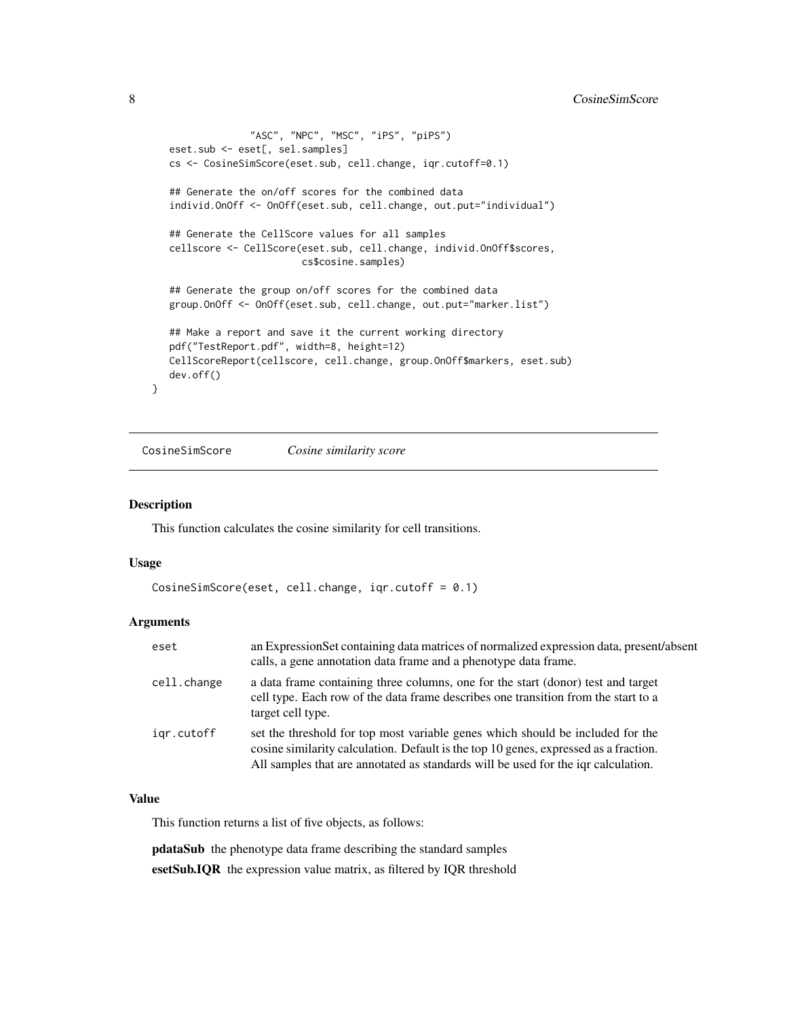```
"ASC", "NPC", "MSC", "iPS", "piPS")
eset.sub <- eset[, sel.samples]
cs <- CosineSimScore(eset.sub, cell.change, iqr.cutoff=0.1)
## Generate the on/off scores for the combined data
individ.OnOff <- OnOff(eset.sub, cell.change, out.put="individual")
## Generate the CellScore values for all samples
cellscore <- CellScore(eset.sub, cell.change, individ.OnOff$scores,
                       cs$cosine.samples)
## Generate the group on/off scores for the combined data
group.OnOff <- OnOff(eset.sub, cell.change, out.put="marker.list")
## Make a report and save it the current working directory
pdf("TestReport.pdf", width=8, height=12)
CellScoreReport(cellscore, cell.change, group.OnOff$markers, eset.sub)
dev.off()
```
<span id="page-7-1"></span>CosineSimScore *Cosine similarity score*

#### Description

}

This function calculates the cosine similarity for cell transitions.

#### Usage

```
CosineSimScore(eset, cell.change, iqr.cutoff = 0.1)
```
# Arguments

| eset        | an Expression Set containing data matrices of normalized expression data, present/absent<br>calls, a gene annotation data frame and a phenotype data frame.                                                                                                 |
|-------------|-------------------------------------------------------------------------------------------------------------------------------------------------------------------------------------------------------------------------------------------------------------|
| cell.change | a data frame containing three columns, one for the start (donor) test and target<br>cell type. Each row of the data frame describes one transition from the start to a<br>target cell type.                                                                 |
| igr.cutoff  | set the threshold for top most variable genes which should be included for the<br>cosine similarity calculation. Default is the top 10 genes, expressed as a fraction.<br>All samples that are annotated as standards will be used for the igr calculation. |

### Value

This function returns a list of five objects, as follows:

pdataSub the phenotype data frame describing the standard samples esetSub.IQR the expression value matrix, as filtered by IQR threshold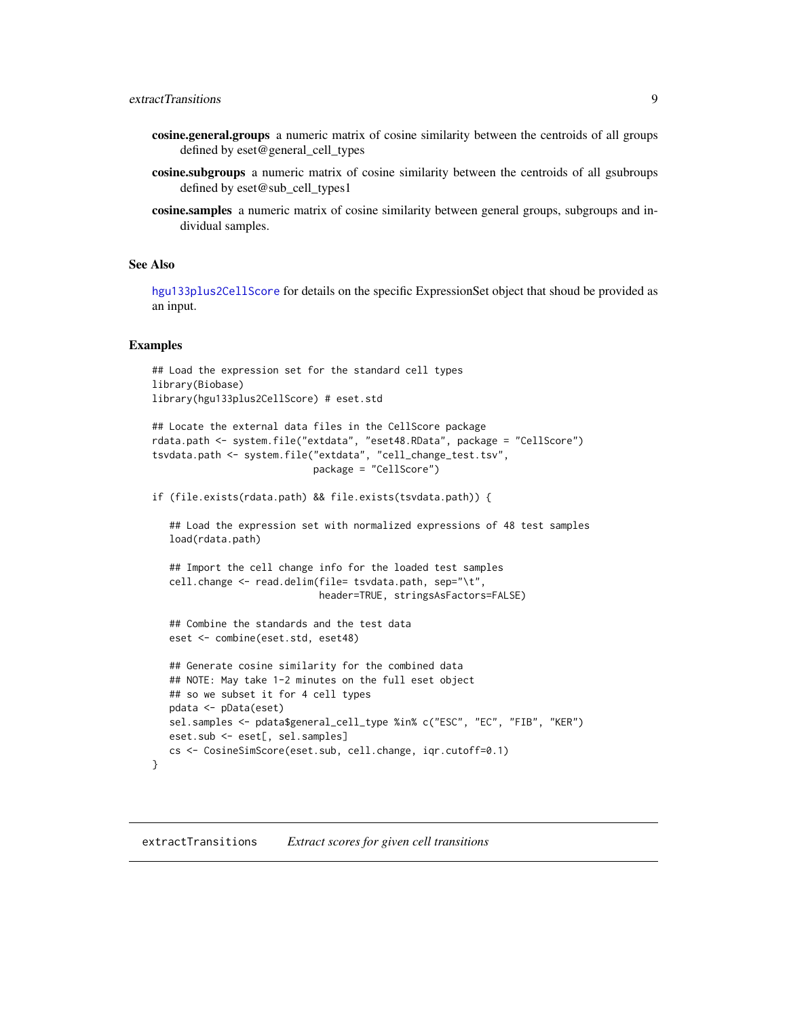- <span id="page-8-0"></span>cosine.general.groups a numeric matrix of cosine similarity between the centroids of all groups defined by eset@general\_cell\_types
- cosine.subgroups a numeric matrix of cosine similarity between the centroids of all gsubroups defined by eset@sub\_cell\_types1
- cosine.samples a numeric matrix of cosine similarity between general groups, subgroups and individual samples.

#### See Also

[hgu133plus2CellScore](#page-0-0) for details on the specific ExpressionSet object that shoud be provided as an input.

#### Examples

}

```
## Load the expression set for the standard cell types
library(Biobase)
library(hgu133plus2CellScore) # eset.std
```

```
## Locate the external data files in the CellScore package
rdata.path <- system.file("extdata", "eset48.RData", package = "CellScore")
tsvdata.path <- system.file("extdata", "cell_change_test.tsv",
                           package = "CellScore")
```

```
if (file.exists(rdata.path) && file.exists(tsvdata.path)) {
```
## Load the expression set with normalized expressions of 48 test samples load(rdata.path)

```
## Import the cell change info for the loaded test samples
cell.change <- read.delim(file= tsvdata.path, sep="\t",
                          header=TRUE, stringsAsFactors=FALSE)
```
## Combine the standards and the test data eset <- combine(eset.std, eset48)

```
## Generate cosine similarity for the combined data
## NOTE: May take 1-2 minutes on the full eset object
## so we subset it for 4 cell types
pdata <- pData(eset)
sel.samples <- pdata$general_cell_type %in% c("ESC", "EC", "FIB", "KER")
eset.sub <- eset[, sel.samples]
cs <- CosineSimScore(eset.sub, cell.change, iqr.cutoff=0.1)
```
extractTransitions *Extract scores for given cell transitions*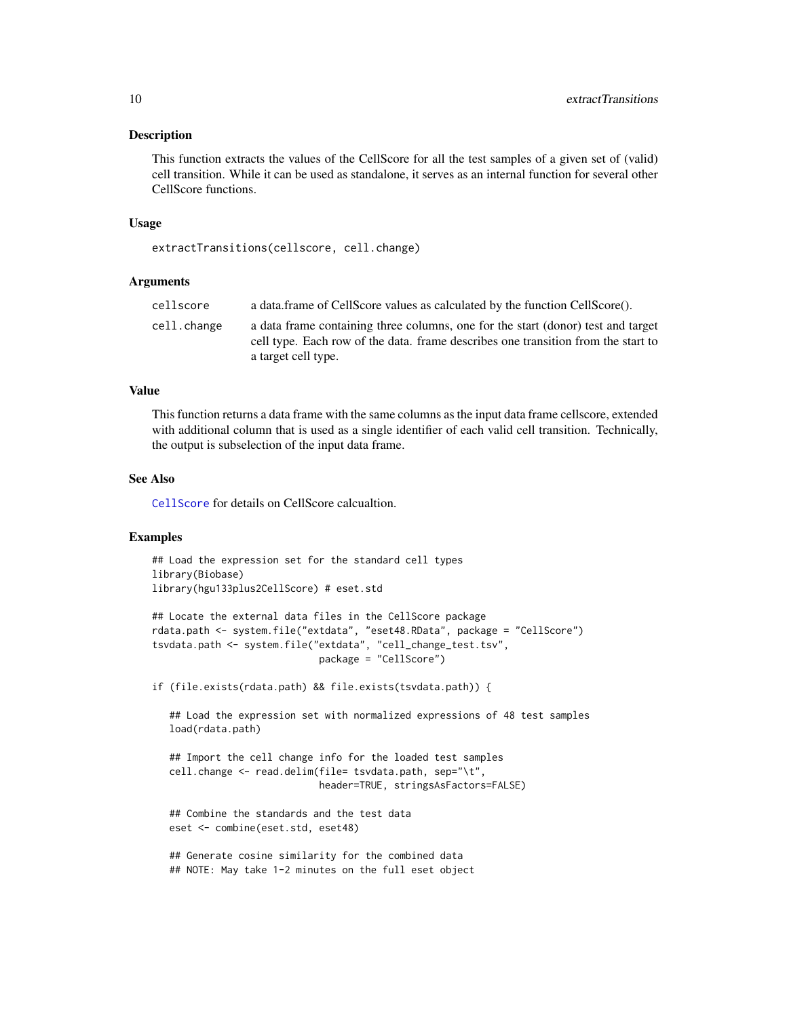#### <span id="page-9-0"></span>Description

This function extracts the values of the CellScore for all the test samples of a given set of (valid) cell transition. While it can be used as standalone, it serves as an internal function for several other CellScore functions.

#### Usage

extractTransitions(cellscore, cell.change)

# Arguments

| a data.frame of CellScore values as calculated by the function CellScore().<br>cellscore                                                                                                                    |  |
|-------------------------------------------------------------------------------------------------------------------------------------------------------------------------------------------------------------|--|
| a data frame containing three columns, one for the start (donor) test and target<br>cell.change<br>cell type. Each row of the data, frame describes one transition from the start to<br>a target cell type. |  |

# Value

This function returns a data frame with the same columns as the input data frame cellscore, extended with additional column that is used as a single identifier of each valid cell transition. Technically, the output is subselection of the input data frame.

#### See Also

[CellScore](#page-4-1) for details on CellScore calcualtion.

#### Examples

## Load the expression set for the standard cell types library(Biobase) library(hgu133plus2CellScore) # eset.std

```
## Locate the external data files in the CellScore package
rdata.path <- system.file("extdata", "eset48.RData", package = "CellScore")
tsvdata.path <- system.file("extdata", "cell_change_test.tsv",
                            package = "CellScore")
```
if (file.exists(rdata.path) && file.exists(tsvdata.path)) {

## Load the expression set with normalized expressions of 48 test samples load(rdata.path)

## Import the cell change info for the loaded test samples cell.change <- read.delim(file= tsvdata.path, sep="\t", header=TRUE, stringsAsFactors=FALSE)

## Combine the standards and the test data eset <- combine(eset.std, eset48)

## Generate cosine similarity for the combined data ## NOTE: May take 1-2 minutes on the full eset object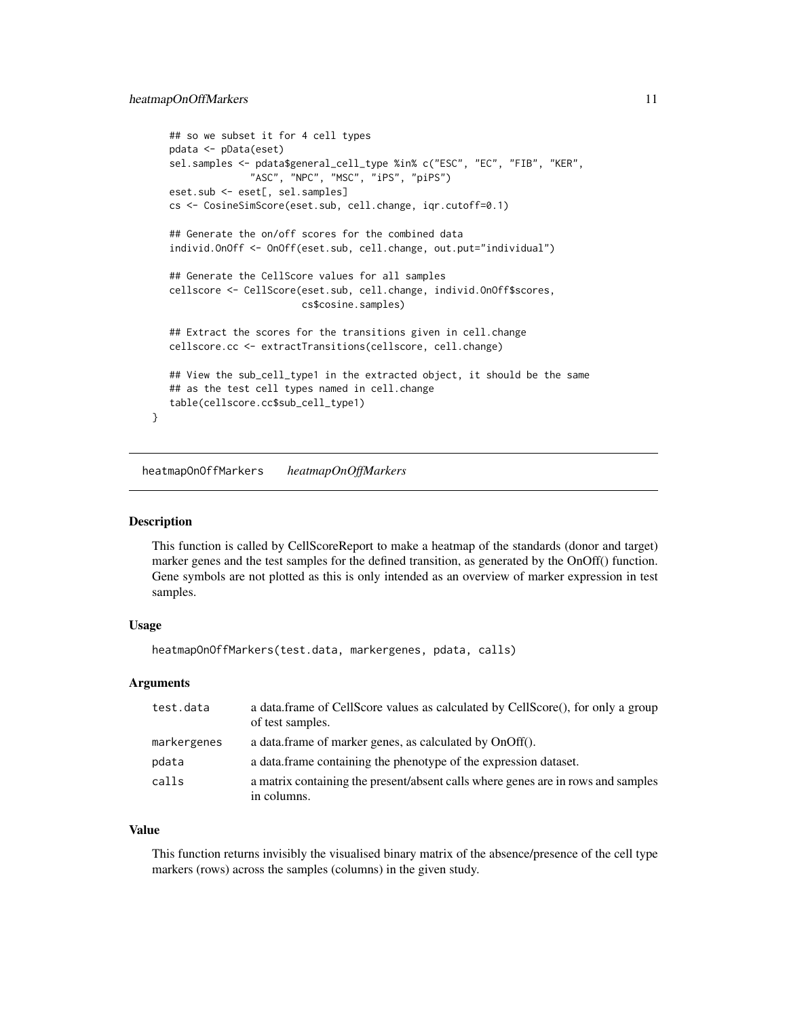```
## so we subset it for 4 cell types
pdata <- pData(eset)
sel.samples <- pdata$general_cell_type %in% c("ESC", "EC", "FIB", "KER",
              "ASC", "NPC", "MSC", "iPS", "piPS")
eset.sub <- eset[, sel.samples]
cs <- CosineSimScore(eset.sub, cell.change, iqr.cutoff=0.1)
## Generate the on/off scores for the combined data
individ.OnOff <- OnOff(eset.sub, cell.change, out.put="individual")
## Generate the CellScore values for all samples
cellscore <- CellScore(eset.sub, cell.change, individ.OnOff$scores,
                       cs$cosine.samples)
## Extract the scores for the transitions given in cell.change
cellscore.cc <- extractTransitions(cellscore, cell.change)
## View the sub_cell_type1 in the extracted object, it should be the same
## as the test cell types named in cell.change
table(cellscore.cc$sub_cell_type1)
```
heatmapOnOffMarkers *heatmapOnOffMarkers*

#### Description

}

This function is called by CellScoreReport to make a heatmap of the standards (donor and target) marker genes and the test samples for the defined transition, as generated by the OnOff() function. Gene symbols are not plotted as this is only intended as an overview of marker expression in test samples.

#### Usage

```
heatmapOnOffMarkers(test.data, markergenes, pdata, calls)
```
### Arguments

| test.data   | a data.frame of CellScore values as calculated by CellScore(), for only a group<br>of test samples. |
|-------------|-----------------------------------------------------------------------------------------------------|
| markergenes | a data.frame of marker genes, as calculated by OnOff().                                             |
| pdata       | a data. frame containing the phenotype of the expression dataset.                                   |
| calls       | a matrix containing the present/absent calls where genes are in rows and samples<br>in columns.     |
|             |                                                                                                     |

#### Value

This function returns invisibly the visualised binary matrix of the absence/presence of the cell type markers (rows) across the samples (columns) in the given study.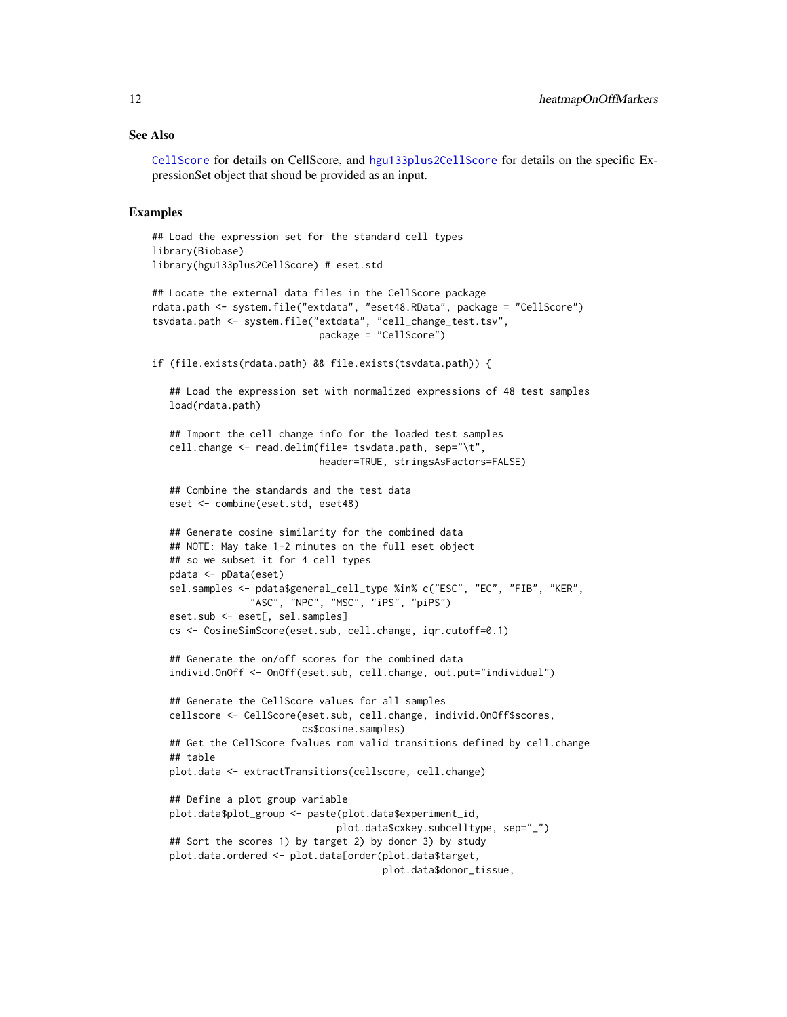#### <span id="page-11-0"></span>See Also

[CellScore](#page-4-1) for details on CellScore, and [hgu133plus2CellScore](#page-0-0) for details on the specific ExpressionSet object that shoud be provided as an input.

#### Examples

```
## Load the expression set for the standard cell types
library(Biobase)
library(hgu133plus2CellScore) # eset.std
## Locate the external data files in the CellScore package
rdata.path <- system.file("extdata", "eset48.RData", package = "CellScore")
tsvdata.path <- system.file("extdata", "cell_change_test.tsv",
                             package = "CellScore")
if (file.exists(rdata.path) && file.exists(tsvdata.path)) {
   ## Load the expression set with normalized expressions of 48 test samples
  load(rdata.path)
   ## Import the cell change info for the loaded test samples
  cell.change <- read.delim(file= tsvdata.path, sep="\t",
                            header=TRUE, stringsAsFactors=FALSE)
  ## Combine the standards and the test data
  eset <- combine(eset.std, eset48)
   ## Generate cosine similarity for the combined data
  ## NOTE: May take 1-2 minutes on the full eset object
  ## so we subset it for 4 cell types
  pdata <- pData(eset)
  sel.samples <- pdata$general_cell_type %in% c("ESC", "EC", "FIB", "KER",
                 "ASC", "NPC", "MSC", "iPS", "piPS")
   eset.sub <- eset[, sel.samples]
  cs <- CosineSimScore(eset.sub, cell.change, iqr.cutoff=0.1)
   ## Generate the on/off scores for the combined data
   individ.OnOff <- OnOff(eset.sub, cell.change, out.put="individual")
   ## Generate the CellScore values for all samples
   cellscore <- CellScore(eset.sub, cell.change, individ.OnOff$scores,
                          cs$cosine.samples)
  ## Get the CellScore fvalues rom valid transitions defined by cell.change
   ## table
  plot.data <- extractTransitions(cellscore, cell.change)
   ## Define a plot group variable
  plot.data$plot_group <- paste(plot.data$experiment_id,
                                plot.data$cxkey.subcelltype, sep="_")
   ## Sort the scores 1) by target 2) by donor 3) by study
  plot.data.ordered <- plot.data[order(plot.data$target,
                                        plot.data$donor_tissue,
```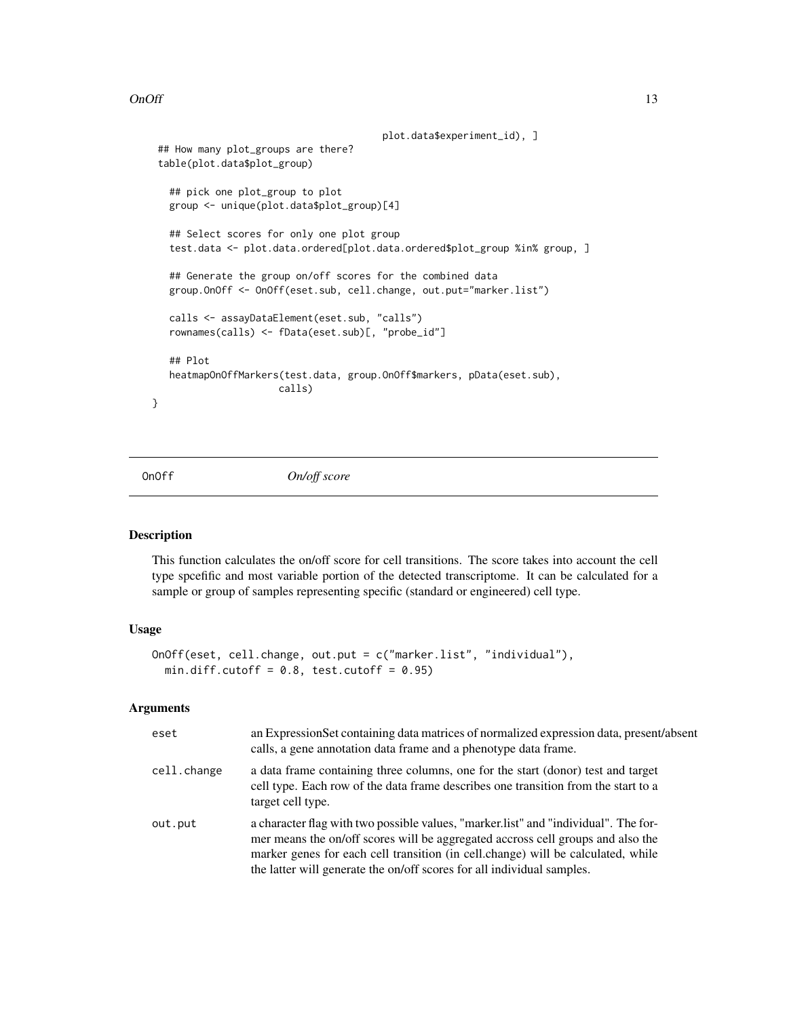#### <span id="page-12-0"></span> $OnOff$  13

```
plot.data$experiment_id), ]
 ## How many plot_groups are there?
 table(plot.data$plot_group)
   ## pick one plot_group to plot
  group <- unique(plot.data$plot_group)[4]
   ## Select scores for only one plot group
  test.data <- plot.data.ordered[plot.data.ordered$plot_group %in% group, ]
   ## Generate the group on/off scores for the combined data
  group.OnOff <- OnOff(eset.sub, cell.change, out.put="marker.list")
  calls <- assayDataElement(eset.sub, "calls")
   rownames(calls) <- fData(eset.sub)[, "probe_id"]
   ## Plot
  heatmapOnOffMarkers(test.data, group.OnOff$markers, pData(eset.sub),
                      calls)
}
```
<span id="page-12-1"></span>

OnOff *On/off score*

#### Description

This function calculates the on/off score for cell transitions. The score takes into account the cell type spcefific and most variable portion of the detected transcriptome. It can be calculated for a sample or group of samples representing specific (standard or engineered) cell type.

#### Usage

```
OnOff(eset, cell.change, out.put = c("marker.list", "individual"),
  min.diff.cutoff = 0.8, test.cutoff = 0.95)
```
#### Arguments

| eset        | an ExpressionSet containing data matrices of normalized expression data, present/absent<br>calls, a gene annotation data frame and a phenotype data frame.                                                                                                                                                                            |
|-------------|---------------------------------------------------------------------------------------------------------------------------------------------------------------------------------------------------------------------------------------------------------------------------------------------------------------------------------------|
| cell.change | a data frame containing three columns, one for the start (donor) test and target<br>cell type. Each row of the data frame describes one transition from the start to a<br>target cell type.                                                                                                                                           |
| out.put     | a character flag with two possible values, "marker list" and "individual". The for-<br>mer means the on/off scores will be aggregated accross cell groups and also the<br>marker genes for each cell transition (in cell, change) will be calculated, while<br>the latter will generate the on/off scores for all individual samples. |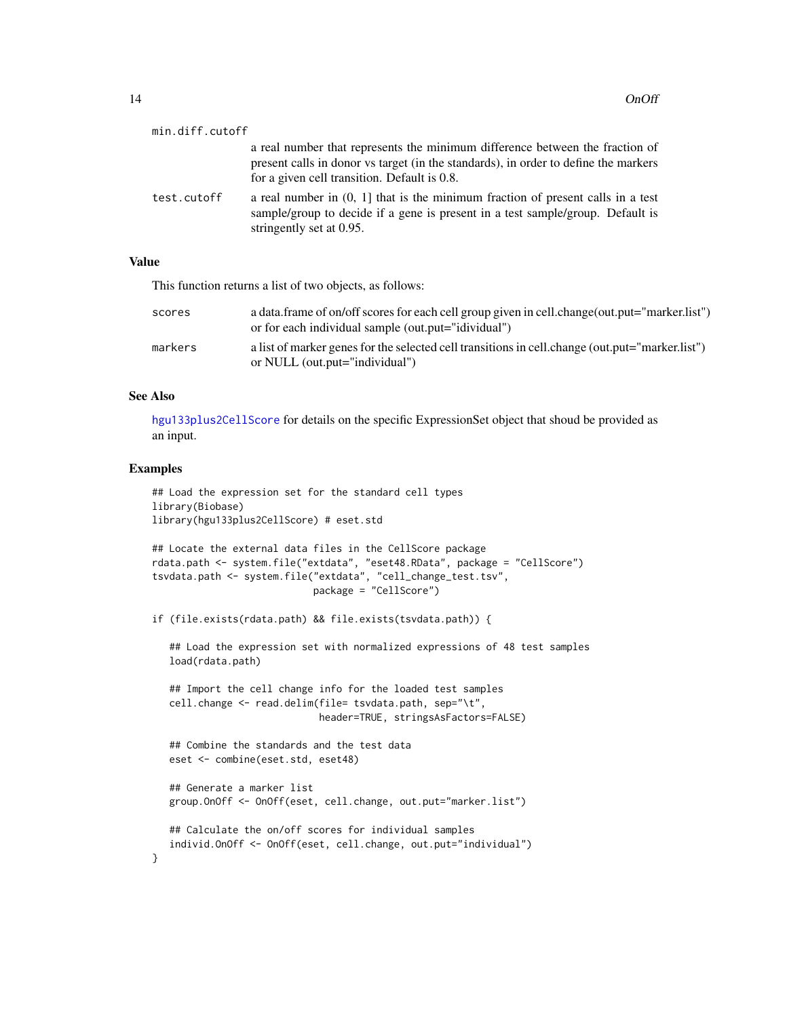<span id="page-13-0"></span>

| min.diff.cutoff |                                                                                                                                                                                                                     |
|-----------------|---------------------------------------------------------------------------------------------------------------------------------------------------------------------------------------------------------------------|
|                 | a real number that represents the minimum difference between the fraction of<br>present calls in donor vs target (in the standards), in order to define the markers<br>for a given cell transition. Default is 0.8. |
| test.cutoff     | a real number in $(0, 1]$ that is the minimum fraction of present calls in a test<br>sample/group to decide if a gene is present in a test sample/group. Default is<br>stringently set at 0.95.                     |

# Value

This function returns a list of two objects, as follows:

| scores  | a data.frame of on/off scores for each cell group given in cell.change(out.put="marker.list")<br>or for each individual sample (out.put="idividual") |
|---------|------------------------------------------------------------------------------------------------------------------------------------------------------|
| markers | a list of marker genes for the selected cell transitions in cell. change (out. put="marker. list")<br>or NULL (out.put="individual")                 |

#### See Also

[hgu133plus2CellScore](#page-0-0) for details on the specific ExpressionSet object that shoud be provided as an input.

#### Examples

}

```
## Load the expression set for the standard cell types
library(Biobase)
library(hgu133plus2CellScore) # eset.std
```

```
## Locate the external data files in the CellScore package
rdata.path <- system.file("extdata", "eset48.RData", package = "CellScore")
tsvdata.path <- system.file("extdata", "cell_change_test.tsv",
                            package = "CellScore")
```

```
if (file.exists(rdata.path) && file.exists(tsvdata.path)) {
```
## Load the expression set with normalized expressions of 48 test samples load(rdata.path)

```
## Import the cell change info for the loaded test samples
cell.change <- read.delim(file= tsvdata.path, sep="\t",
                         header=TRUE, stringsAsFactors=FALSE)
```

```
## Combine the standards and the test data
eset <- combine(eset.std, eset48)
```

```
## Generate a marker list
group.OnOff <- OnOff(eset, cell.change, out.put="marker.list")
```

```
## Calculate the on/off scores for individual samples
individ.OnOff <- OnOff(eset, cell.change, out.put="individual")
```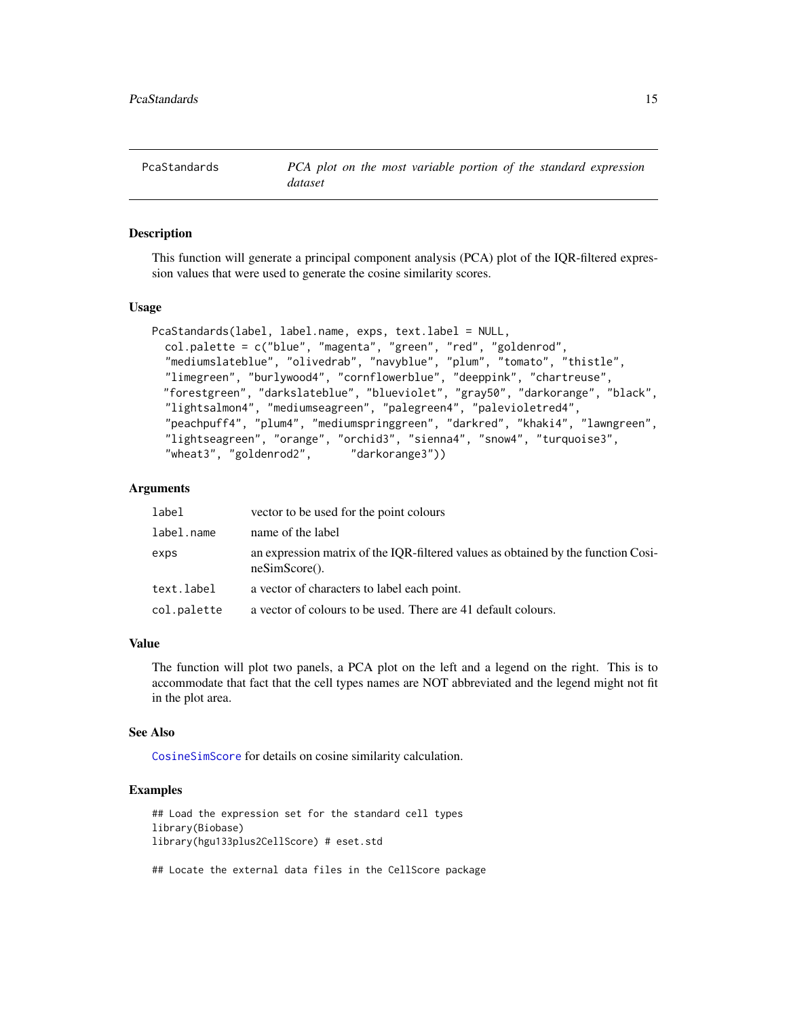<span id="page-14-0"></span>PcaStandards *PCA plot on the most variable portion of the standard expression dataset*

#### Description

This function will generate a principal component analysis (PCA) plot of the IQR-filtered expression values that were used to generate the cosine similarity scores.

#### Usage

```
PcaStandards(label, label.name, exps, text.label = NULL,
  col.palette = c("blue", "magenta", "green", "red", "goldenrod",
  "mediumslateblue", "olivedrab", "navyblue", "plum", "tomato", "thistle",
  "limegreen", "burlywood4", "cornflowerblue", "deeppink", "chartreuse",
  "forestgreen", "darkslateblue", "blueviolet", "gray50", "darkorange", "black",
 "lightsalmon4", "mediumseagreen", "palegreen4", "palevioletred4",
  "peachpuff4", "plum4", "mediumspringgreen", "darkred", "khaki4", "lawngreen",
  "lightseagreen", "orange", "orchid3", "sienna4", "snow4", "turquoise3",
  "wheat3", "goldenrod2", "darkorange3"))
```
#### Arguments

| label       | vector to be used for the point colours                                                                      |
|-------------|--------------------------------------------------------------------------------------------------------------|
| label.name  | name of the label                                                                                            |
| exps        | an expression matrix of the IQR-filtered values as obtained by the function Cosi-<br>$\text{neSimScore}()$ . |
| text.label  | a vector of characters to label each point.                                                                  |
| col.palette | a vector of colours to be used. There are 41 default colours.                                                |

#### Value

The function will plot two panels, a PCA plot on the left and a legend on the right. This is to accommodate that fact that the cell types names are NOT abbreviated and the legend might not fit in the plot area.

#### See Also

[CosineSimScore](#page-7-1) for details on cosine similarity calculation.

# Examples

## Load the expression set for the standard cell types library(Biobase) library(hgu133plus2CellScore) # eset.std

## Locate the external data files in the CellScore package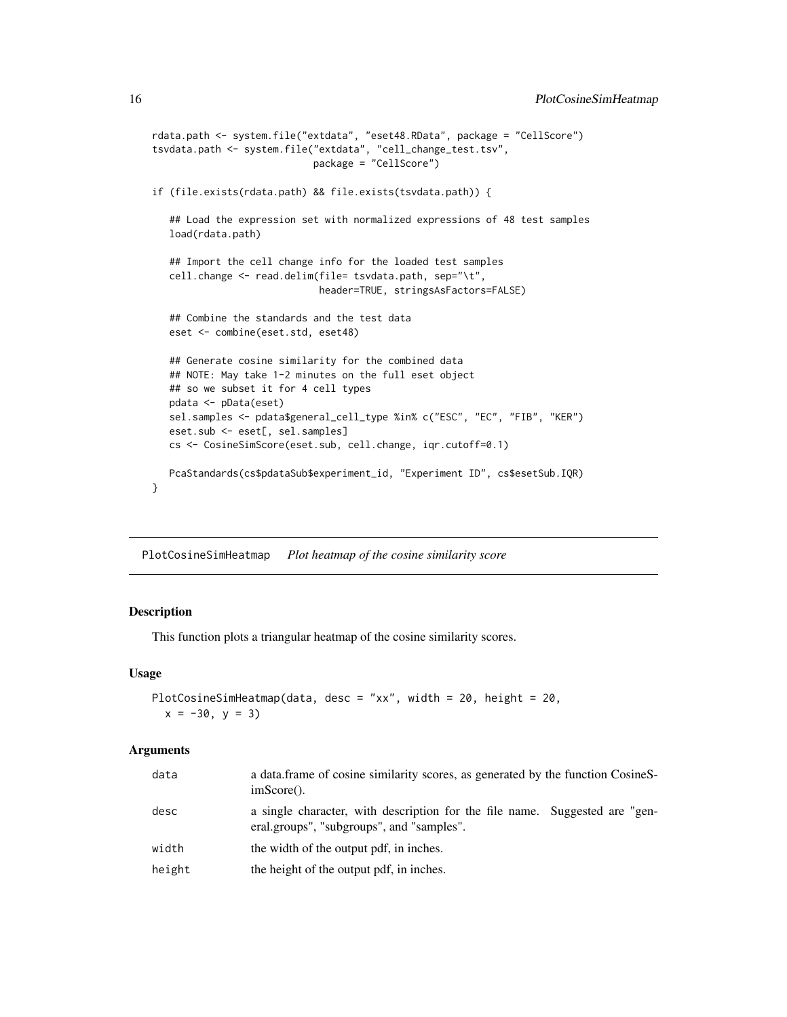```
rdata.path <- system.file("extdata", "eset48.RData", package = "CellScore")
tsvdata.path <- system.file("extdata", "cell_change_test.tsv",
                            package = "CellScore")
if (file.exists(rdata.path) && file.exists(tsvdata.path)) {
   ## Load the expression set with normalized expressions of 48 test samples
  load(rdata.path)
  ## Import the cell change info for the loaded test samples
  cell.change <- read.delim(file= tsvdata.path, sep="\t",
                            header=TRUE, stringsAsFactors=FALSE)
  ## Combine the standards and the test data
  eset <- combine(eset.std, eset48)
  ## Generate cosine similarity for the combined data
  ## NOTE: May take 1-2 minutes on the full eset object
  ## so we subset it for 4 cell types
  pdata <- pData(eset)
  sel.samples <- pdata$general_cell_type %in% c("ESC", "EC", "FIB", "KER")
  eset.sub <- eset[, sel.samples]
  cs <- CosineSimScore(eset.sub, cell.change, iqr.cutoff=0.1)
  PcaStandards(cs$pdataSub$experiment_id, "Experiment ID", cs$esetSub.IQR)
}
```
PlotCosineSimHeatmap *Plot heatmap of the cosine similarity score*

#### Description

This function plots a triangular heatmap of the cosine similarity scores.

#### Usage

```
PlotCosineSimHeatmap(data, desc = "xx", width = 20, height = 20,
  x = -30, y = 3
```
#### Arguments

| data   | a data frame of cosine similarity scores, as generated by the function CosineS-<br>$imScore()$ .                         |
|--------|--------------------------------------------------------------------------------------------------------------------------|
| desc   | a single character, with description for the file name. Suggested are "gen-<br>eral.groups", "subgroups", and "samples". |
| width  | the width of the output pdf, in inches.                                                                                  |
| height | the height of the output pdf, in inches.                                                                                 |

<span id="page-15-0"></span>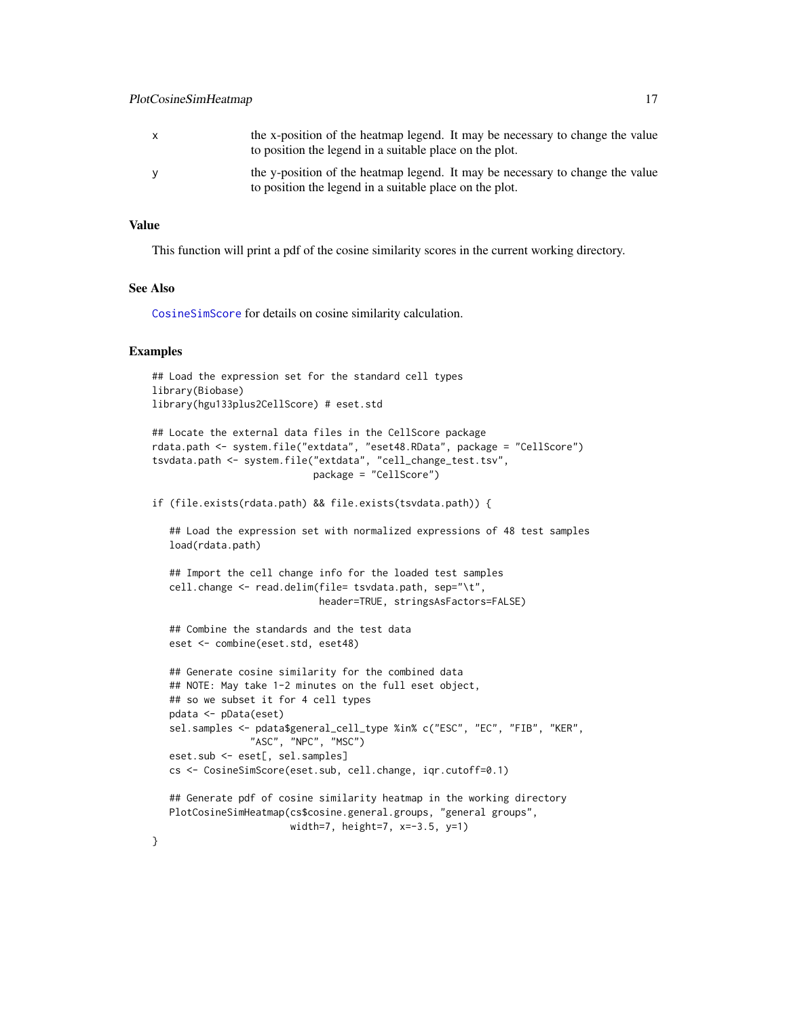# <span id="page-16-0"></span>PlotCosineSimHeatmap 17

| X | the x-position of the heatmap legend. It may be necessary to change the value<br>to position the legend in a suitable place on the plot. |
|---|------------------------------------------------------------------------------------------------------------------------------------------|
| V | the y-position of the heatmap legend. It may be necessary to change the value<br>to position the legend in a suitable place on the plot. |

# Value

This function will print a pdf of the cosine similarity scores in the current working directory.

#### See Also

[CosineSimScore](#page-7-1) for details on cosine similarity calculation.

#### Examples

```
## Load the expression set for the standard cell types
library(Biobase)
library(hgu133plus2CellScore) # eset.std
```

```
## Locate the external data files in the CellScore package
rdata.path <- system.file("extdata", "eset48.RData", package = "CellScore")
tsvdata.path <- system.file("extdata", "cell_change_test.tsv",
                            package = "CellScore")
```

```
if (file.exists(rdata.path) && file.exists(tsvdata.path)) {
```
## Load the expression set with normalized expressions of 48 test samples load(rdata.path)

```
## Import the cell change info for the loaded test samples
cell.change <- read.delim(file= tsvdata.path, sep="\t",
                          header=TRUE, stringsAsFactors=FALSE)
```

```
## Combine the standards and the test data
eset <- combine(eset.std, eset48)
```

```
## Generate cosine similarity for the combined data
## NOTE: May take 1-2 minutes on the full eset object,
## so we subset it for 4 cell types
pdata <- pData(eset)
sel.samples <- pdata$general_cell_type %in% c("ESC", "EC", "FIB", "KER",
              "ASC", "NPC", "MSC")
eset.sub <- eset[, sel.samples]
cs <- CosineSimScore(eset.sub, cell.change, iqr.cutoff=0.1)
```

```
## Generate pdf of cosine similarity heatmap in the working directory
PlotCosineSimHeatmap(cs$cosine.general.groups, "general groups",
                    width=7, height=7, x=-3.5, y=1)
```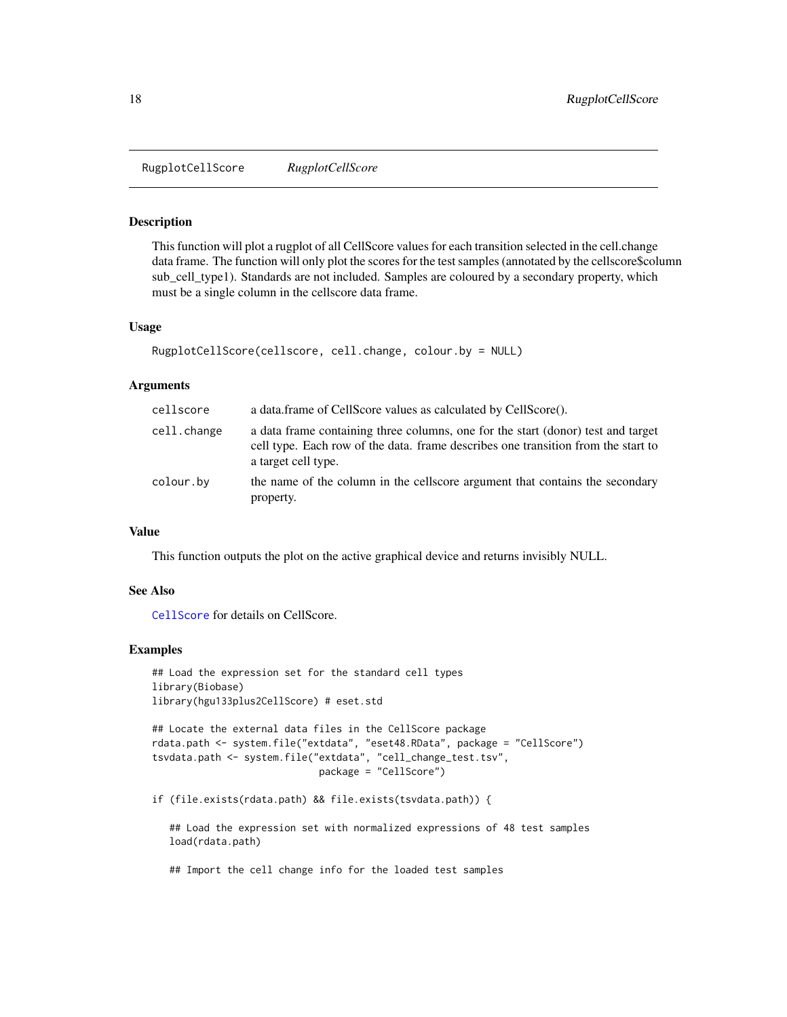<span id="page-17-0"></span>RugplotCellScore *RugplotCellScore*

#### **Description**

This function will plot a rugplot of all CellScore values for each transition selected in the cell.change data frame. The function will only plot the scores for the test samples (annotated by the cellscore\$column sub cell type1). Standards are not included. Samples are coloured by a secondary property, which must be a single column in the cellscore data frame.

#### Usage

```
RugplotCellScore(cellscore, cell.change, colour.by = NULL)
```
#### Arguments

| cellscore   | a data.frame of CellScore values as calculated by CellScore().                                                                                                                               |
|-------------|----------------------------------------------------------------------------------------------------------------------------------------------------------------------------------------------|
| cell.change | a data frame containing three columns, one for the start (donor) test and target<br>cell type. Each row of the data, frame describes one transition from the start to<br>a target cell type. |
| colour.by   | the name of the column in the cellscore argument that contains the secondary<br>property.                                                                                                    |

#### Value

This function outputs the plot on the active graphical device and returns invisibly NULL.

#### See Also

[CellScore](#page-4-1) for details on CellScore.

#### Examples

```
## Load the expression set for the standard cell types
library(Biobase)
library(hgu133plus2CellScore) # eset.std
```

```
## Locate the external data files in the CellScore package
rdata.path <- system.file("extdata", "eset48.RData", package = "CellScore")
tsvdata.path <- system.file("extdata", "cell_change_test.tsv",
                             package = "CellScore")
```

```
if (file.exists(rdata.path) && file.exists(tsvdata.path)) {
```
## Load the expression set with normalized expressions of 48 test samples load(rdata.path)

## Import the cell change info for the loaded test samples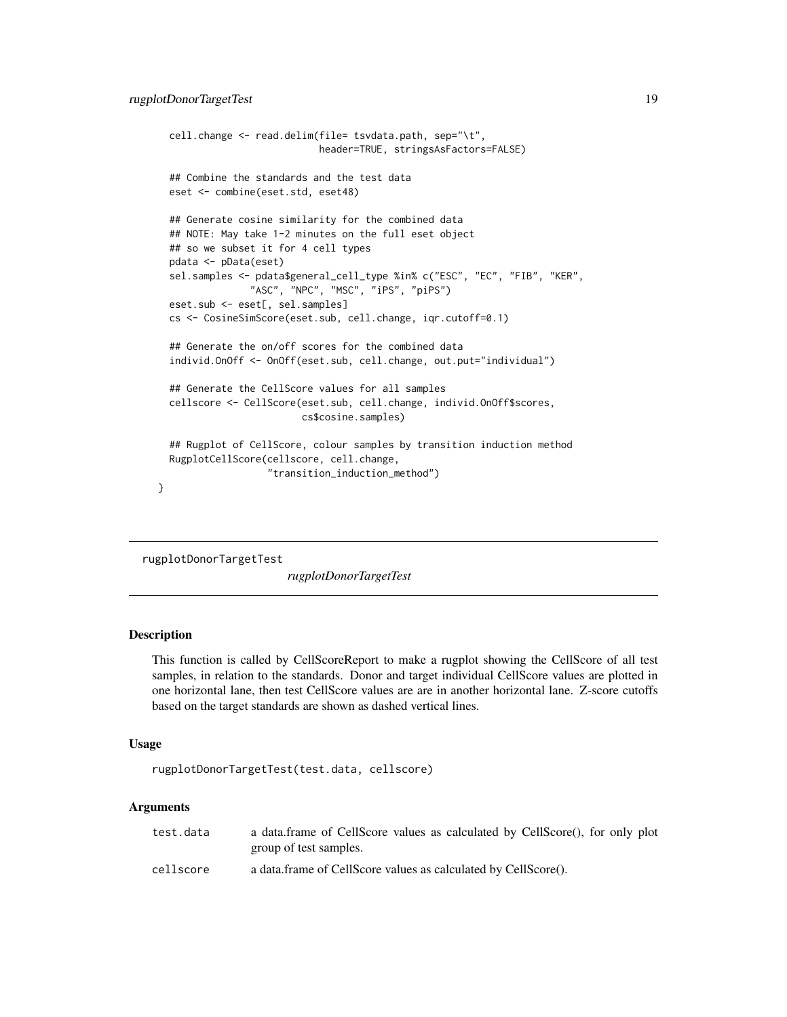```
cell.change <- read.delim(file= tsvdata.path, sep="\t",
                          header=TRUE, stringsAsFactors=FALSE)
## Combine the standards and the test data
eset <- combine(eset.std, eset48)
## Generate cosine similarity for the combined data
## NOTE: May take 1-2 minutes on the full eset object
## so we subset it for 4 cell types
pdata <- pData(eset)
sel.samples <- pdata$general_cell_type %in% c("ESC", "EC", "FIB", "KER",
              "ASC", "NPC", "MSC", "iPS", "piPS")
eset.sub <- eset[, sel.samples]
cs <- CosineSimScore(eset.sub, cell.change, iqr.cutoff=0.1)
## Generate the on/off scores for the combined data
individ.OnOff <- OnOff(eset.sub, cell.change, out.put="individual")
## Generate the CellScore values for all samples
cellscore <- CellScore(eset.sub, cell.change, individ.OnOff$scores,
                       cs$cosine.samples)
## Rugplot of CellScore, colour samples by transition induction method
RugplotCellScore(cellscore, cell.change,
                 "transition_induction_method")
```
rugplotDonorTargetTest

*rugplotDonorTargetTest*

# Description

}

This function is called by CellScoreReport to make a rugplot showing the CellScore of all test samples, in relation to the standards. Donor and target individual CellScore values are plotted in one horizontal lane, then test CellScore values are are in another horizontal lane. Z-score cutoffs based on the target standards are shown as dashed vertical lines.

#### Usage

rugplotDonorTargetTest(test.data, cellscore)

#### Arguments

| test.data | a data.frame of CellScore values as calculated by CellScore(), for only plot |
|-----------|------------------------------------------------------------------------------|
|           | group of test samples.                                                       |
| cellscore | a data frame of CellScore values as calculated by CellScore().               |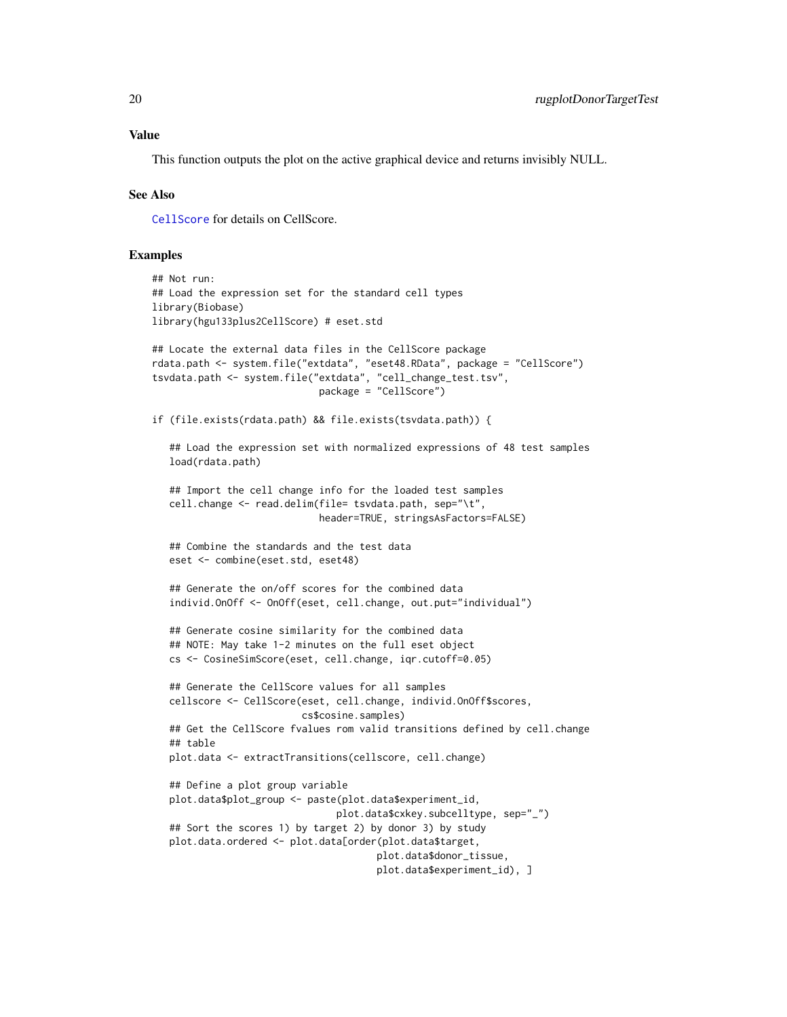#### <span id="page-19-0"></span>Value

This function outputs the plot on the active graphical device and returns invisibly NULL.

#### See Also

[CellScore](#page-4-1) for details on CellScore.

#### Examples

```
## Not run:
## Load the expression set for the standard cell types
library(Biobase)
library(hgu133plus2CellScore) # eset.std
## Locate the external data files in the CellScore package
rdata.path <- system.file("extdata", "eset48.RData", package = "CellScore")
tsvdata.path <- system.file("extdata", "cell_change_test.tsv",
                             package = "CellScore")
if (file.exists(rdata.path) && file.exists(tsvdata.path)) {
   ## Load the expression set with normalized expressions of 48 test samples
  load(rdata.path)
   ## Import the cell change info for the loaded test samples
  cell.change <- read.delim(file= tsvdata.path, sep="\t",
                            header=TRUE, stringsAsFactors=FALSE)
   ## Combine the standards and the test data
  eset <- combine(eset.std, eset48)
   ## Generate the on/off scores for the combined data
  individ.OnOff <- OnOff(eset, cell.change, out.put="individual")
   ## Generate cosine similarity for the combined data
   ## NOTE: May take 1-2 minutes on the full eset object
  cs <- CosineSimScore(eset, cell.change, iqr.cutoff=0.05)
  ## Generate the CellScore values for all samples
   cellscore <- CellScore(eset, cell.change, individ.OnOff$scores,
                          cs$cosine.samples)
   ## Get the CellScore fvalues rom valid transitions defined by cell.change
   ## table
  plot.data <- extractTransitions(cellscore, cell.change)
   ## Define a plot group variable
  plot.data$plot_group <- paste(plot.data$experiment_id,
                                plot.data$cxkey.subcelltype, sep="_")
   ## Sort the scores 1) by target 2) by donor 3) by study
  plot.data.ordered <- plot.data[order(plot.data$target,
                                       plot.data$donor_tissue,
                                       plot.data$experiment_id), ]
```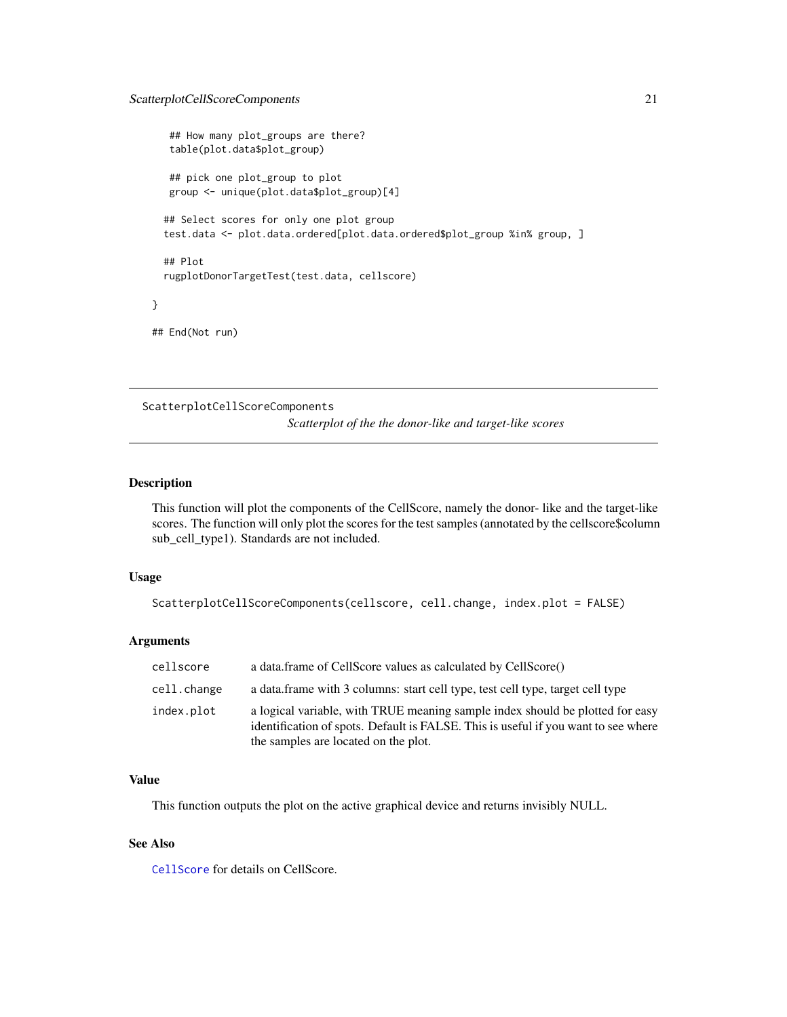# <span id="page-20-0"></span>ScatterplotCellScoreComponents 21

```
## How many plot_groups are there?
   table(plot.data$plot_group)
   ## pick one plot_group to plot
  group <- unique(plot.data$plot_group)[4]
 ## Select scores for only one plot group
 test.data <- plot.data.ordered[plot.data.ordered$plot_group %in% group, ]
 ## Plot
 rugplotDonorTargetTest(test.data, cellscore)
## End(Not run)
```
ScatterplotCellScoreComponents

*Scatterplot of the the donor-like and target-like scores*

## Description

}

This function will plot the components of the CellScore, namely the donor- like and the target-like scores. The function will only plot the scores for the test samples (annotated by the cellscore\$column sub\_cell\_type1). Standards are not included.

# Usage

```
ScatterplotCellScoreComponents(cellscore, cell.change, index.plot = FALSE)
```
#### Arguments

| cellscore   | a data.frame of CellScore values as calculated by CellScore()                                                                                                                                               |
|-------------|-------------------------------------------------------------------------------------------------------------------------------------------------------------------------------------------------------------|
| cell.change | a data.frame with 3 columns: start cell type, test cell type, target cell type                                                                                                                              |
| index.plot  | a logical variable, with TRUE meaning sample index should be plotted for easy<br>identification of spots. Default is FALSE. This is useful if you want to see where<br>the samples are located on the plot. |

#### Value

This function outputs the plot on the active graphical device and returns invisibly NULL.

#### See Also

[CellScore](#page-4-1) for details on CellScore.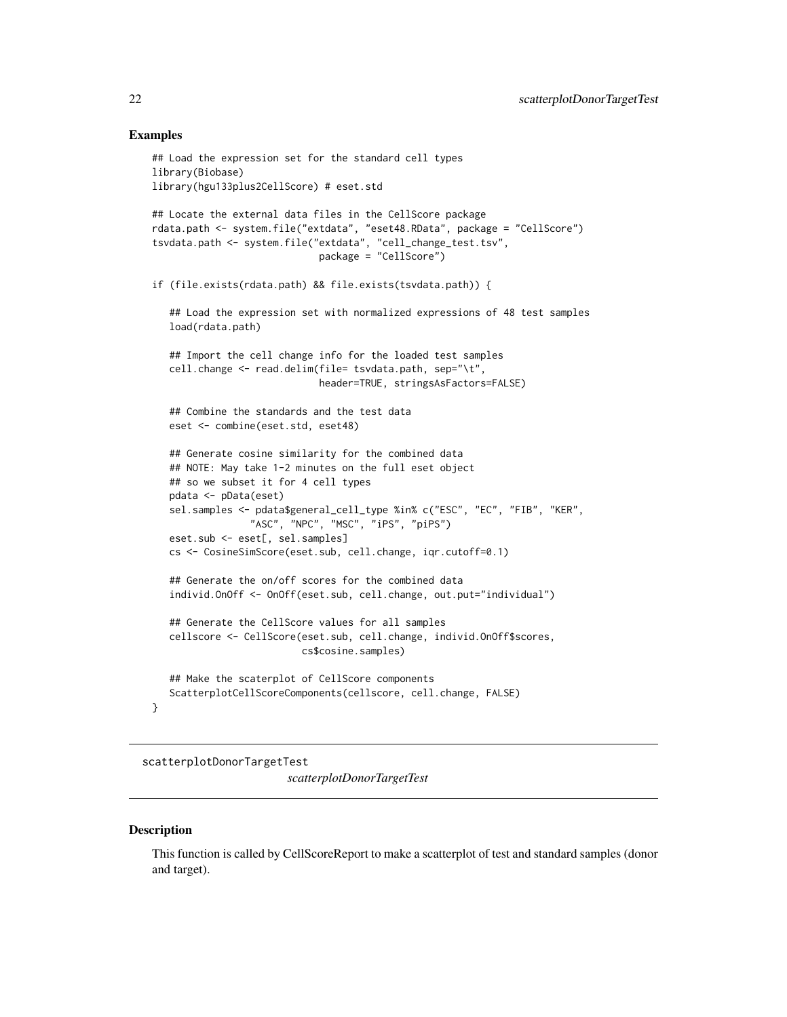#### <span id="page-21-0"></span>Examples

```
## Load the expression set for the standard cell types
library(Biobase)
library(hgu133plus2CellScore) # eset.std
## Locate the external data files in the CellScore package
rdata.path <- system.file("extdata", "eset48.RData", package = "CellScore")
tsvdata.path <- system.file("extdata", "cell_change_test.tsv",
                             package = "CellScore")
if (file.exists(rdata.path) && file.exists(tsvdata.path)) {
   ## Load the expression set with normalized expressions of 48 test samples
  load(rdata.path)
   ## Import the cell change info for the loaded test samples
  cell.change <- read.delim(file= tsvdata.path, sep="\t",
                             header=TRUE, stringsAsFactors=FALSE)
   ## Combine the standards and the test data
  eset <- combine(eset.std, eset48)
   ## Generate cosine similarity for the combined data
  ## NOTE: May take 1-2 minutes on the full eset object
   ## so we subset it for 4 cell types
  pdata <- pData(eset)
  sel.samples <- pdata$general_cell_type %in% c("ESC", "EC", "FIB", "KER",
                 "ASC", "NPC", "MSC", "iPS", "piPS")
  eset.sub <- eset[, sel.samples]
  cs <- CosineSimScore(eset.sub, cell.change, iqr.cutoff=0.1)
   ## Generate the on/off scores for the combined data
  individ.OnOff <- OnOff(eset.sub, cell.change, out.put="individual")
   ## Generate the CellScore values for all samples
   cellscore <- CellScore(eset.sub, cell.change, individ.OnOff$scores,
                          cs$cosine.samples)
  ## Make the scaterplot of CellScore components
  ScatterplotCellScoreComponents(cellscore, cell.change, FALSE)
}
```
scatterplotDonorTargetTest *scatterplotDonorTargetTest*

#### **Description**

This function is called by CellScoreReport to make a scatterplot of test and standard samples (donor and target).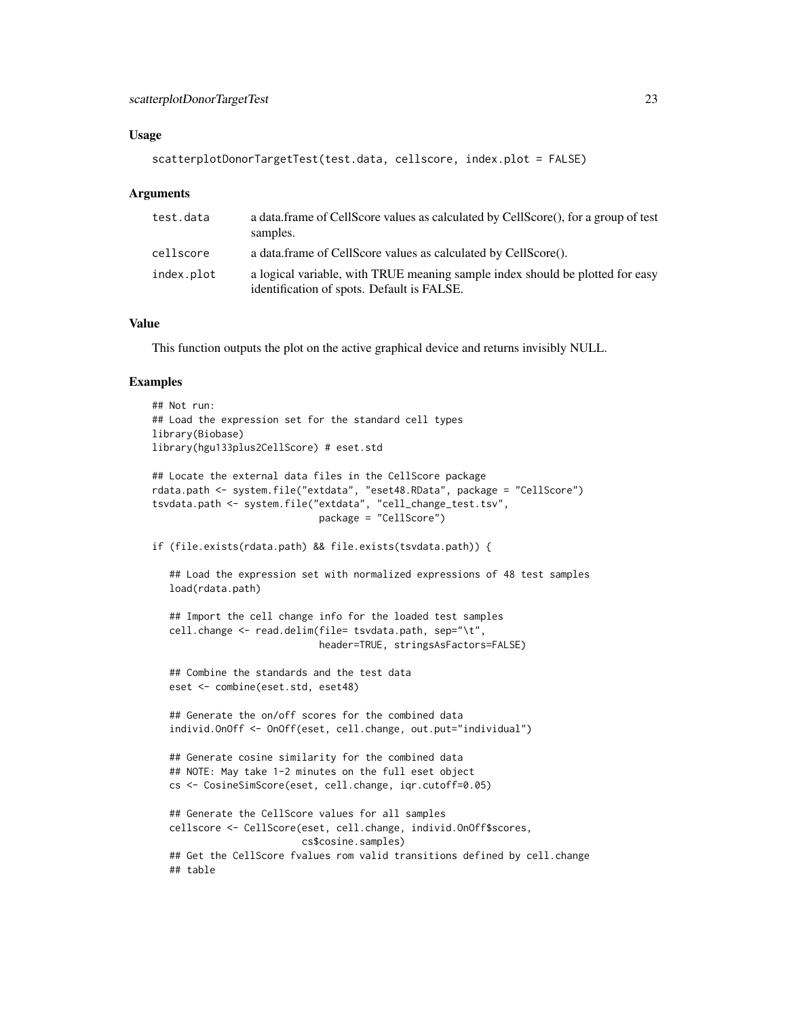#### Usage

```
scatterplotDonorTargetTest(test.data, cellscore, index.plot = FALSE)
```
#### Arguments

| test.data  | a data frame of CellScore values as calculated by CellScore(), for a group of test<br>samples.                              |
|------------|-----------------------------------------------------------------------------------------------------------------------------|
| cellscore  | a data.frame of CellScore values as calculated by CellScore().                                                              |
| index.plot | a logical variable, with TRUE meaning sample index should be plotted for easy<br>identification of spots. Default is FALSE. |

# Value

This function outputs the plot on the active graphical device and returns invisibly NULL.

#### Examples

```
## Not run:
## Load the expression set for the standard cell types
library(Biobase)
library(hgu133plus2CellScore) # eset.std
## Locate the external data files in the CellScore package
rdata.path <- system.file("extdata", "eset48.RData", package = "CellScore")
tsvdata.path <- system.file("extdata", "cell_change_test.tsv",
                             package = "CellScore")
if (file.exists(rdata.path) && file.exists(tsvdata.path)) {
   ## Load the expression set with normalized expressions of 48 test samples
   load(rdata.path)
   ## Import the cell change info for the loaded test samples
   cell.change <- read.delim(file= tsvdata.path, sep="\t",
                             header=TRUE, stringsAsFactors=FALSE)
   ## Combine the standards and the test data
   eset <- combine(eset.std, eset48)
   ## Generate the on/off scores for the combined data
   individ.OnOff <- OnOff(eset, cell.change, out.put="individual")
   ## Generate cosine similarity for the combined data
   ## NOTE: May take 1-2 minutes on the full eset object
   cs <- CosineSimScore(eset, cell.change, iqr.cutoff=0.05)
   ## Generate the CellScore values for all samples
   cellscore <- CellScore(eset, cell.change, individ.OnOff$scores,
                          cs$cosine.samples)
   ## Get the CellScore fvalues rom valid transitions defined by cell.change
   ## table
```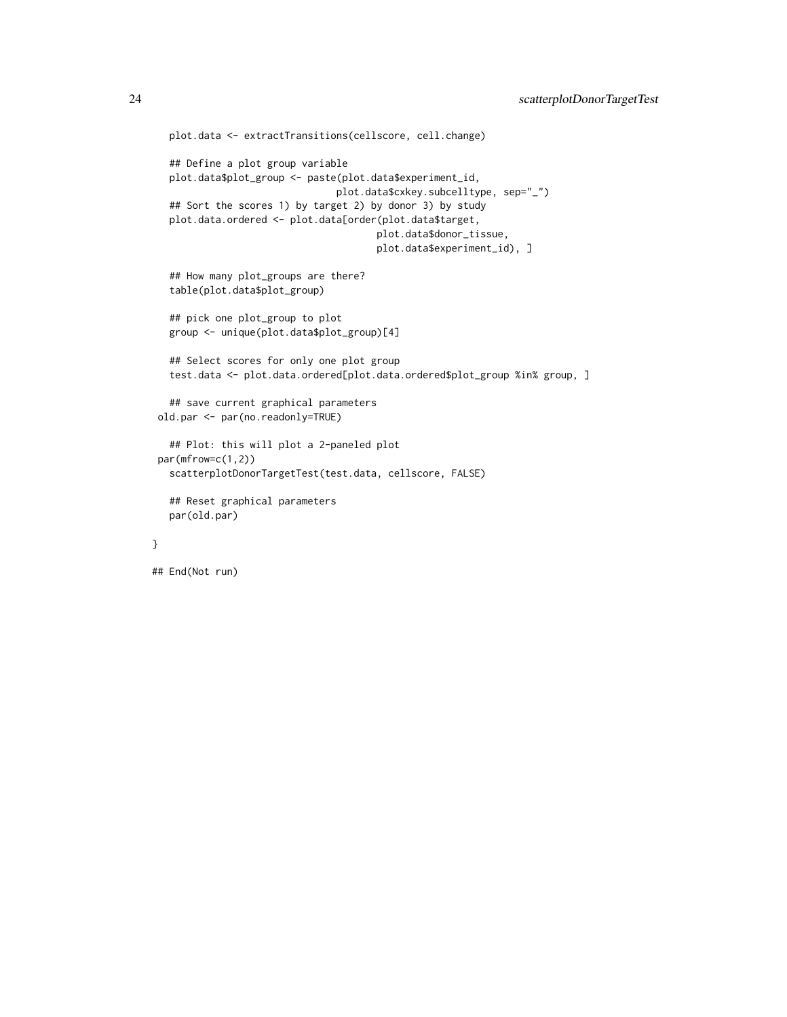```
plot.data <- extractTransitions(cellscore, cell.change)
   ## Define a plot group variable
  plot.data$plot_group <- paste(plot.data$experiment_id,
                                plot.data$cxkey.subcelltype, sep="_")
  ## Sort the scores 1) by target 2) by donor 3) by study
  plot.data.ordered <- plot.data[order(plot.data$target,
                                       plot.data$donor_tissue,
                                       plot.data$experiment_id), ]
   ## How many plot_groups are there?
  table(plot.data$plot_group)
   ## pick one plot_group to plot
  group <- unique(plot.data$plot_group)[4]
  ## Select scores for only one plot group
  test.data <- plot.data.ordered[plot.data.ordered$plot_group %in% group, ]
   ## save current graphical parameters
old.par <- par(no.readonly=TRUE)
  ## Plot: this will plot a 2-paneled plot
par(mfrow=c(1,2))
  scatterplotDonorTargetTest(test.data, cellscore, FALSE)
  ## Reset graphical parameters
  par(old.par)
## End(Not run)
```
}